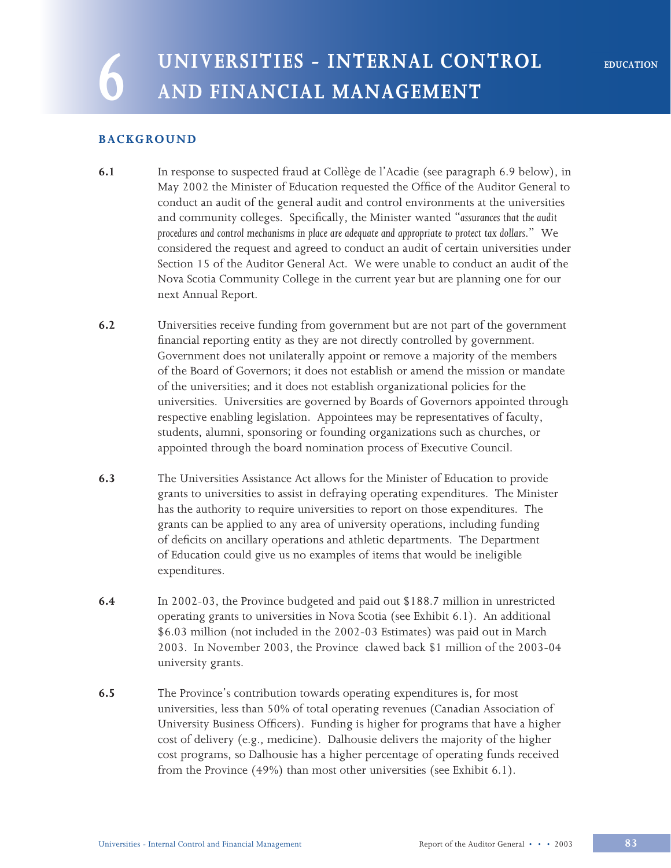# **6 UNIVERSITIES - INTERNAL CONTROL AND FINANCIAL MANAGEMENT**

# **BACKGROUND**

- **6.1** In response to suspected fraud at Collège de l'Acadie (see paragraph 6.9 below), in May 2002 the Minister of Education requested the Office of the Auditor General to conduct an audit of the general audit and control environments at the universities and community colleges. Specifically, the Minister wanted "*assurances that the audit procedures and control mechanisms in place are adequate and appropriate to protect tax dollars*." We considered the request and agreed to conduct an audit of certain universities under Section 15 of the Auditor General Act. We were unable to conduct an audit of the Nova Scotia Community College in the current year but are planning one for our next Annual Report.
- **6.2** Universities receive funding from government but are not part of the government financial reporting entity as they are not directly controlled by government. Government does not unilaterally appoint or remove a majority of the members of the Board of Governors; it does not establish or amend the mission or mandate of the universities; and it does not establish organizational policies for the universities. Universities are governed by Boards of Governors appointed through respective enabling legislation. Appointees may be representatives of faculty, students, alumni, sponsoring or founding organizations such as churches, or appointed through the board nomination process of Executive Council.
- **6.3** The Universities Assistance Act allows for the Minister of Education to provide grants to universities to assist in defraying operating expenditures. The Minister has the authority to require universities to report on those expenditures. The grants can be applied to any area of university operations, including funding of deficits on ancillary operations and athletic departments. The Department of Education could give us no examples of items that would be ineligible expenditures.
- **6.4** In 2002-03, the Province budgeted and paid out \$188.7 million in unrestricted operating grants to universities in Nova Scotia (see Exhibit 6.1). An additional \$6.03 million (not included in the 2002-03 Estimates) was paid out in March 2003. In November 2003, the Province clawed back \$1 million of the 2003-04 university grants.
- **6.5** The Province's contribution towards operating expenditures is, for most universities, less than 50% of total operating revenues (Canadian Association of University Business Officers). Funding is higher for programs that have a higher cost of delivery (e.g., medicine). Dalhousie delivers the majority of the higher cost programs, so Dalhousie has a higher percentage of operating funds received from the Province (49%) than most other universities (see Exhibit 6.1).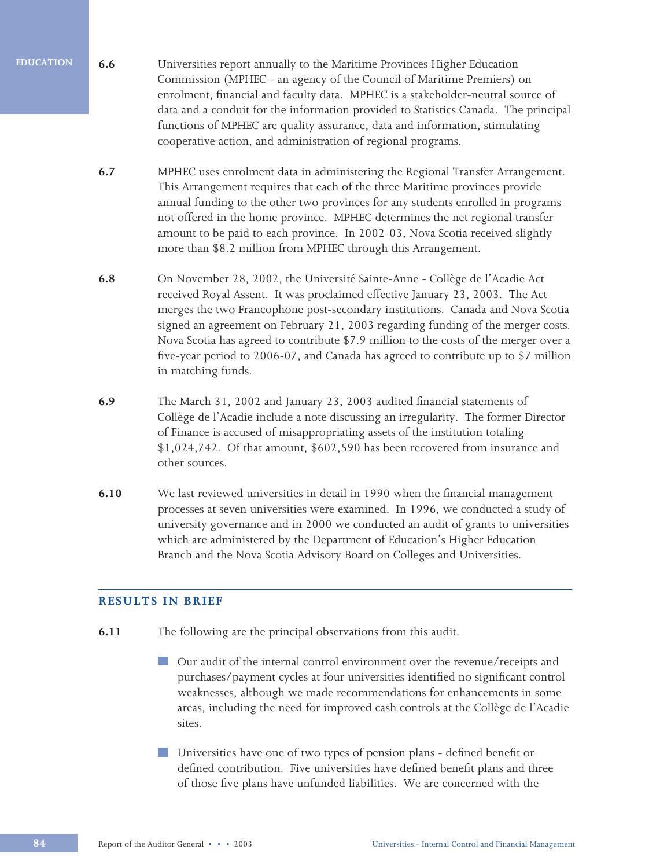- **6.6** Universities report annually to the Maritime Provinces Higher Education Commission (MPHEC - an agency of the Council of Maritime Premiers) on enrolment, financial and faculty data. MPHEC is a stakeholder-neutral source of data and a conduit for the information provided to Statistics Canada. The principal functions of MPHEC are quality assurance, data and information, stimulating cooperative action, and administration of regional programs.
	- **6.7** MPHEC uses enrolment data in administering the Regional Transfer Arrangement. This Arrangement requires that each of the three Maritime provinces provide annual funding to the other two provinces for any students enrolled in programs not offered in the home province. MPHEC determines the net regional transfer amount to be paid to each province. In 2002-03, Nova Scotia received slightly more than \$8.2 million from MPHEC through this Arrangement.
	- **6.8** On November 28, 2002, the Université Sainte-Anne Collège de l'Acadie Act received Royal Assent. It was proclaimed effective January 23, 2003. The Act merges the two Francophone post-secondary institutions. Canada and Nova Scotia signed an agreement on February 21, 2003 regarding funding of the merger costs. Nova Scotia has agreed to contribute \$7.9 million to the costs of the merger over a five-year period to 2006-07, and Canada has agreed to contribute up to \$7 million in matching funds.
	- **6.9** The March 31, 2002 and January 23, 2003 audited financial statements of Collège de l'Acadie include a note discussing an irregularity. The former Director of Finance is accused of misappropriating assets of the institution totaling \$1,024,742. Of that amount, \$602,590 has been recovered from insurance and other sources.
	- **6.10** We last reviewed universities in detail in 1990 when the financial management processes at seven universities were examined. In 1996, we conducted a study of university governance and in 2000 we conducted an audit of grants to universities which are administered by the Department of Education's Higher Education Branch and the Nova Scotia Advisory Board on Colleges and Universities.

# **RESULTS IN BRIEF**

- **6.11** The following are the principal observations from this audit.
	- Our audit of the internal control environment over the revenue/receipts and purchases/payment cycles at four universities identified no significant control weaknesses, although we made recommendations for enhancements in some areas, including the need for improved cash controls at the Collège de l'Acadie sites.
	- Universities have one of two types of pension plans defined benefit or defined contribution. Five universities have defined benefit plans and three of those five plans have unfunded liabilities. We are concerned with the

**EDUCATION**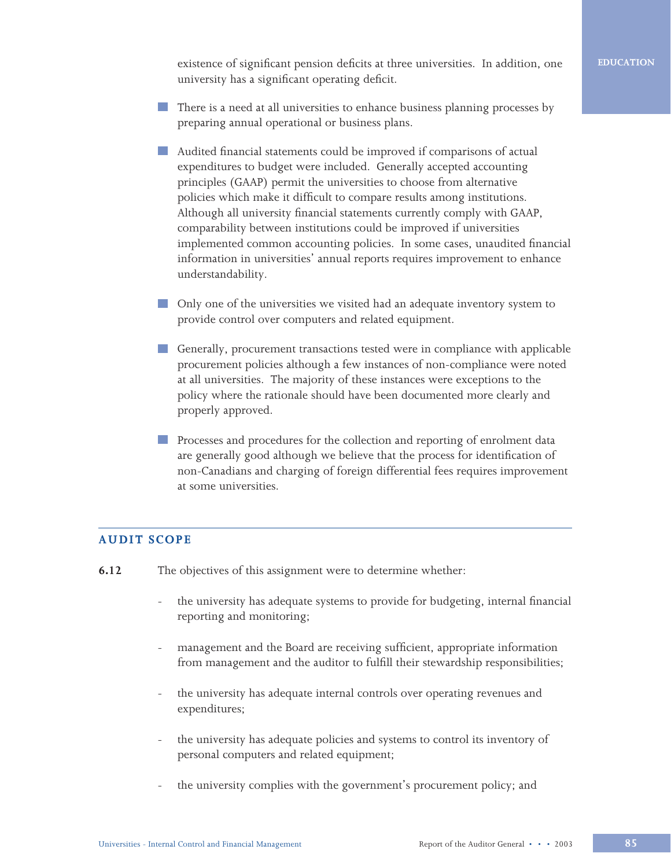existence of significant pension deficits at three universities. In addition, one university has a significant operating deficit.

- There is a need at all universities to enhance business planning processes by preparing annual operational or business plans.
- Audited financial statements could be improved if comparisons of actual expenditures to budget were included. Generally accepted accounting principles (GAAP) permit the universities to choose from alternative policies which make it difficult to compare results among institutions. Although all university financial statements currently comply with GAAP, comparability between institutions could be improved if universities implemented common accounting policies. In some cases, unaudited financial information in universities' annual reports requires improvement to enhance understandability.
- **Only one of the universities we visited had an adequate inventory system to** provide control over computers and related equipment.
- Generally, procurement transactions tested were in compliance with applicable procurement policies although a few instances of non-compliance were noted at all universities. The majority of these instances were exceptions to the policy where the rationale should have been documented more clearly and properly approved.
- **Processes and procedures for the collection and reporting of enrolment data** are generally good although we believe that the process for identification of non-Canadians and charging of foreign differential fees requires improvement at some universities.

# **AUDIT SCOPE**

- **6.12** The objectives of this assignment were to determine whether:
	- the university has adequate systems to provide for budgeting, internal financial reporting and monitoring;
	- management and the Board are receiving sufficient, appropriate information from management and the auditor to fulfill their stewardship responsibilities;
	- the university has adequate internal controls over operating revenues and expenditures;
	- the university has adequate policies and systems to control its inventory of personal computers and related equipment;
	- the university complies with the government's procurement policy; and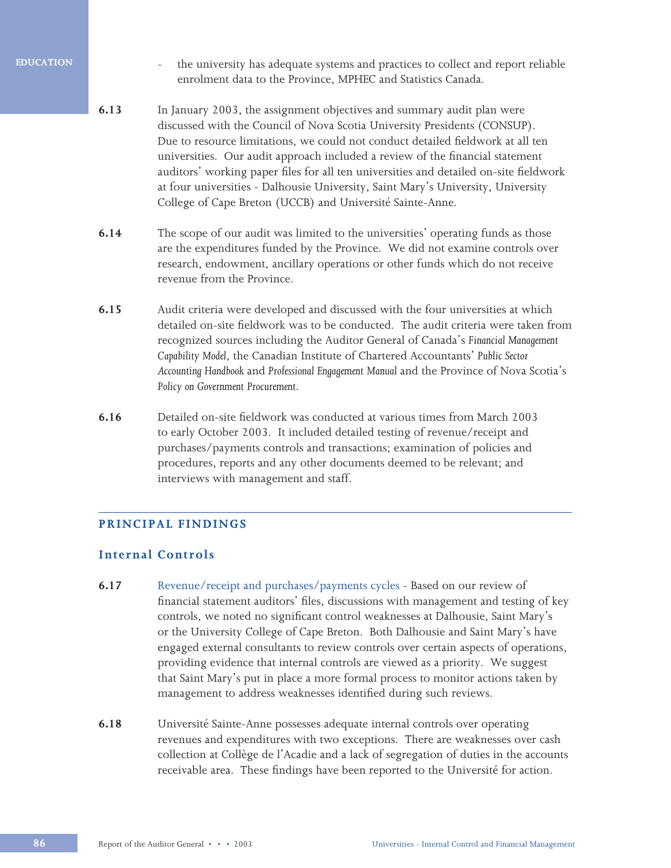- the university has adequate systems and practices to collect and report reliable enrolment data to the Province, MPHEC and Statistics Canada.
- **6.13** In January 2003, the assignment objectives and summary audit plan were discussed with the Council of Nova Scotia University Presidents (CONSUP). Due to resource limitations, we could not conduct detailed fieldwork at all ten universities. Our audit approach included a review of the financial statement auditors' working paper files for all ten universities and detailed on-site fieldwork at four universities - Dalhousie University, Saint Mary's University, University College of Cape Breton (UCCB) and Université Sainte-Anne.
- **6.14** The scope of our audit was limited to the universities' operating funds as those are the expenditures funded by the Province. We did not examine controls over research, endowment, ancillary operations or other funds which do not receive revenue from the Province.
- **6.15** Audit criteria were developed and discussed with the four universities at which detailed on-site fieldwork was to be conducted. The audit criteria were taken from recognized sources including the Auditor General of Canada's *Financial Management Capability Model*, the Canadian Institute of Chartered Accountants' *Public Sector Accounting Handbook* and *Professional Engagement Manual* and the Province of Nova Scotia's *Policy on Government Procurement*.
- **6.16** Detailed on-site fieldwork was conducted at various times from March 2003 to early October 2003. It included detailed testing of revenue/receipt and purchases/payments controls and transactions; examination of policies and procedures, reports and any other documents deemed to be relevant; and interviews with management and staff.

# **PRINCIPAL FINDINGS**

# **Internal Controls**

- **6.17** Revenue/receipt and purchases/payments cycles Based on our review of financial statement auditors' files, discussions with management and testing of key controls, we noted no significant control weaknesses at Dalhousie, Saint Mary's or the University College of Cape Breton. Both Dalhousie and Saint Mary's have engaged external consultants to review controls over certain aspects of operations, providing evidence that internal controls are viewed as a priority. We suggest that Saint Mary's put in place a more formal process to monitor actions taken by management to address weaknesses identified during such reviews.
- **6.18** Université Sainte-Anne possesses adequate internal controls over operating revenues and expenditures with two exceptions. There are weaknesses over cash collection at Collège de l'Acadie and a lack of segregation of duties in the accounts receivable area. These findings have been reported to the Université for action.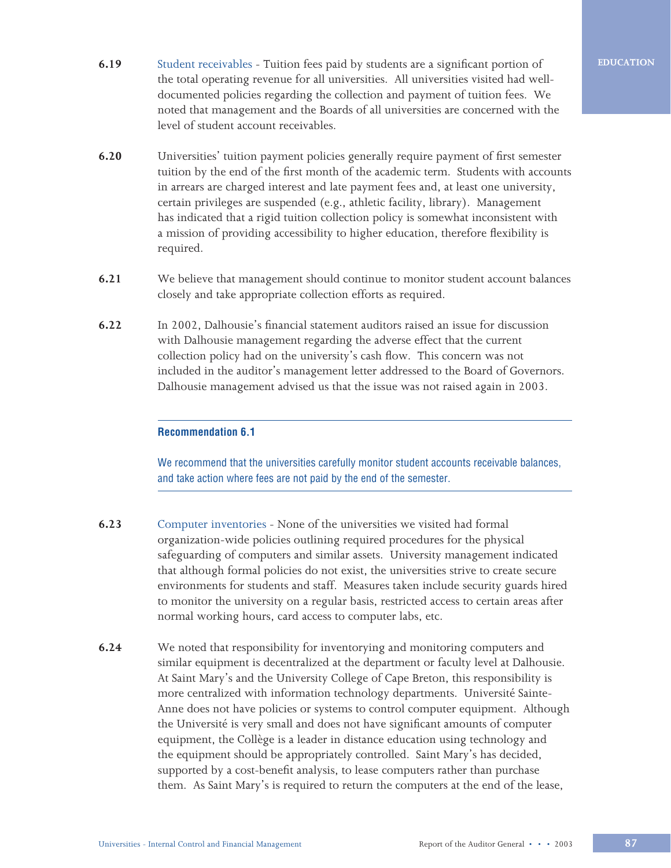- **6.19** Student receivables Tuition fees paid by students are a significant portion of the total operating revenue for all universities. All universities visited had welldocumented policies regarding the collection and payment of tuition fees. We noted that management and the Boards of all universities are concerned with the level of student account receivables.
- **6.20** Universities' tuition payment policies generally require payment of first semester tuition by the end of the first month of the academic term. Students with accounts in arrears are charged interest and late payment fees and, at least one university, certain privileges are suspended (e.g., athletic facility, library). Management has indicated that a rigid tuition collection policy is somewhat inconsistent with a mission of providing accessibility to higher education, therefore flexibility is required.
- **6.21** We believe that management should continue to monitor student account balances closely and take appropriate collection efforts as required.
- **6.22** In 2002, Dalhousie's financial statement auditors raised an issue for discussion with Dalhousie management regarding the adverse effect that the current collection policy had on the university's cash flow. This concern was not included in the auditor's management letter addressed to the Board of Governors. Dalhousie management advised us that the issue was not raised again in 2003.

## **Recommendation 6.1**

We recommend that the universities carefully monitor student accounts receivable balances, and take action where fees are not paid by the end of the semester.

- **6.23** Computer inventories None of the universities we visited had formal organization-wide policies outlining required procedures for the physical safeguarding of computers and similar assets. University management indicated that although formal policies do not exist, the universities strive to create secure environments for students and staff. Measures taken include security guards hired to monitor the university on a regular basis, restricted access to certain areas after normal working hours, card access to computer labs, etc.
- **6.24** We noted that responsibility for inventorying and monitoring computers and similar equipment is decentralized at the department or faculty level at Dalhousie. At Saint Mary's and the University College of Cape Breton, this responsibility is more centralized with information technology departments. Université Sainte-Anne does not have policies or systems to control computer equipment. Although the Université is very small and does not have significant amounts of computer equipment, the Collège is a leader in distance education using technology and the equipment should be appropriately controlled. Saint Mary's has decided, supported by a cost-benefit analysis, to lease computers rather than purchase them. As Saint Mary's is required to return the computers at the end of the lease,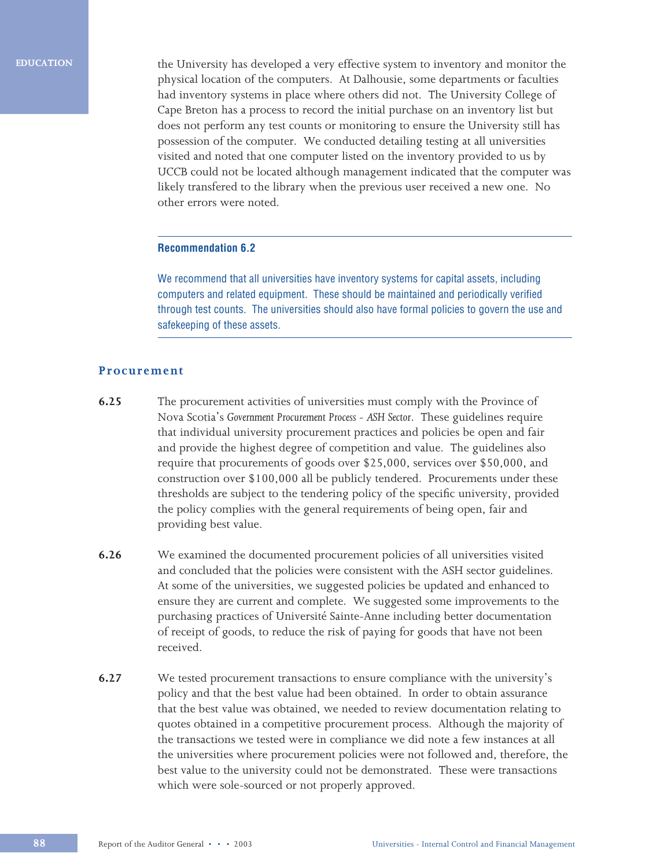the University has developed a very effective system to inventory and monitor the physical location of the computers. At Dalhousie, some departments or faculties had inventory systems in place where others did not. The University College of Cape Breton has a process to record the initial purchase on an inventory list but does not perform any test counts or monitoring to ensure the University still has possession of the computer. We conducted detailing testing at all universities visited and noted that one computer listed on the inventory provided to us by UCCB could not be located although management indicated that the computer was likely transfered to the library when the previous user received a new one. No other errors were noted.

### **Recommendation 6.2**

We recommend that all universities have inventory systems for capital assets, including computers and related equipment. These should be maintained and periodically verified through test counts. The universities should also have formal policies to govern the use and safekeeping of these assets.

### **Procurement**

- **6.25** The procurement activities of universities must comply with the Province of Nova Scotia's *Government Procurement Process - ASH Sector*. These guidelines require that individual university procurement practices and policies be open and fair and provide the highest degree of competition and value. The guidelines also require that procurements of goods over \$25,000, services over \$50,000, and construction over \$100,000 all be publicly tendered. Procurements under these thresholds are subject to the tendering policy of the specific university, provided the policy complies with the general requirements of being open, fair and providing best value.
- **6.26** We examined the documented procurement policies of all universities visited and concluded that the policies were consistent with the ASH sector guidelines. At some of the universities, we suggested policies be updated and enhanced to ensure they are current and complete. We suggested some improvements to the purchasing practices of Université Sainte-Anne including better documentation of receipt of goods, to reduce the risk of paying for goods that have not been received.
- **6.27** We tested procurement transactions to ensure compliance with the university's policy and that the best value had been obtained. In order to obtain assurance that the best value was obtained, we needed to review documentation relating to quotes obtained in a competitive procurement process. Although the majority of the transactions we tested were in compliance we did note a few instances at all the universities where procurement policies were not followed and, therefore, the best value to the university could not be demonstrated. These were transactions which were sole-sourced or not properly approved.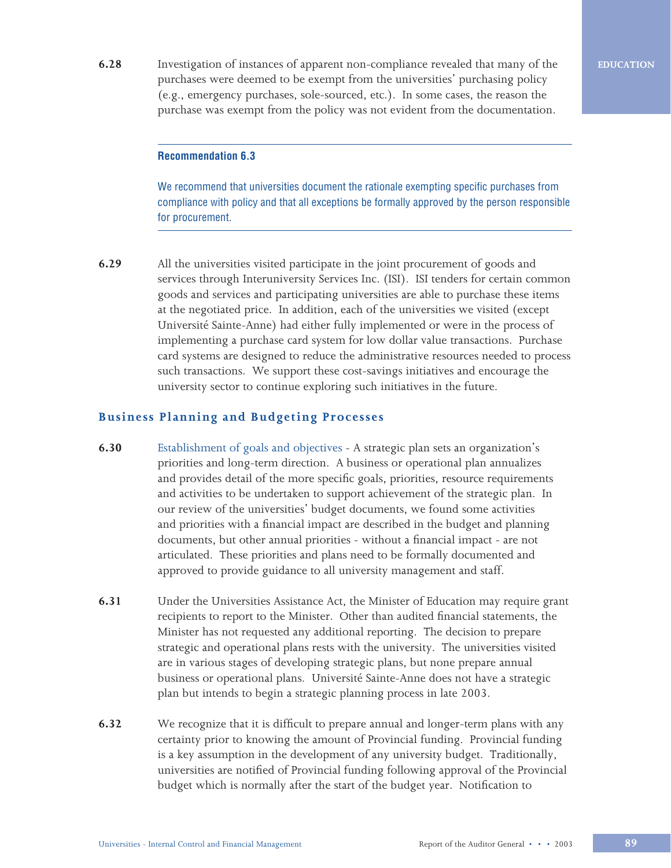**6.28** Investigation of instances of apparent non-compliance revealed that many of the purchases were deemed to be exempt from the universities' purchasing policy (e.g., emergency purchases, sole-sourced, etc.). In some cases, the reason the purchase was exempt from the policy was not evident from the documentation.

**EDUCATION**

### **Recommendation 6.3**

We recommend that universities document the rationale exempting specific purchases from compliance with policy and that all exceptions be formally approved by the person responsible for procurement.

**6.29** All the universities visited participate in the joint procurement of goods and services through Interuniversity Services Inc. (ISI). ISI tenders for certain common goods and services and participating universities are able to purchase these items at the negotiated price. In addition, each of the universities we visited (except Université Sainte-Anne) had either fully implemented or were in the process of implementing a purchase card system for low dollar value transactions. Purchase card systems are designed to reduce the administrative resources needed to process such transactions. We support these cost-savings initiatives and encourage the university sector to continue exploring such initiatives in the future.

# **Business Planning and Budgeting Processes**

- **6.30** Establishment of goals and objectives A strategic plan sets an organization's priorities and long-term direction. A business or operational plan annualizes and provides detail of the more specific goals, priorities, resource requirements and activities to be undertaken to support achievement of the strategic plan. In our review of the universities' budget documents, we found some activities and priorities with a financial impact are described in the budget and planning documents, but other annual priorities - without a financial impact - are not articulated. These priorities and plans need to be formally documented and approved to provide guidance to all university management and staff.
- **6.31** Under the Universities Assistance Act, the Minister of Education may require grant recipients to report to the Minister. Other than audited financial statements, the Minister has not requested any additional reporting. The decision to prepare strategic and operational plans rests with the university. The universities visited are in various stages of developing strategic plans, but none prepare annual business or operational plans. Université Sainte-Anne does not have a strategic plan but intends to begin a strategic planning process in late 2003.
- **6.32** We recognize that it is difficult to prepare annual and longer-term plans with any certainty prior to knowing the amount of Provincial funding. Provincial funding is a key assumption in the development of any university budget. Traditionally, universities are notified of Provincial funding following approval of the Provincial budget which is normally after the start of the budget year. Notification to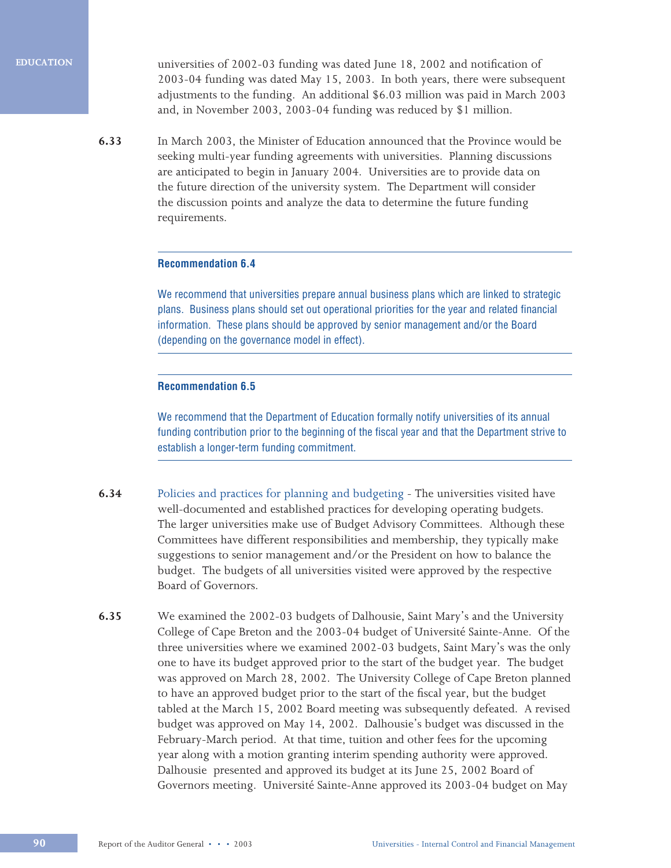universities of 2002-03 funding was dated June 18, 2002 and notification of 2003-04 funding was dated May 15, 2003. In both years, there were subsequent adjustments to the funding. An additional \$6.03 million was paid in March 2003 and, in November 2003, 2003-04 funding was reduced by \$1 million.

**6.33** In March 2003, the Minister of Education announced that the Province would be seeking multi-year funding agreements with universities. Planning discussions are anticipated to begin in January 2004. Universities are to provide data on the future direction of the university system. The Department will consider the discussion points and analyze the data to determine the future funding requirements.

### **Recommendation 6.4**

We recommend that universities prepare annual business plans which are linked to strategic plans. Business plans should set out operational priorities for the year and related financial information. These plans should be approved by senior management and/or the Board (depending on the governance model in effect).

### **Recommendation 6.5**

We recommend that the Department of Education formally notify universities of its annual funding contribution prior to the beginning of the fiscal year and that the Department strive to establish a longer-term funding commitment.

- **6.34** Policies and practices for planning and budgeting The universities visited have well-documented and established practices for developing operating budgets. The larger universities make use of Budget Advisory Committees. Although these Committees have different responsibilities and membership, they typically make suggestions to senior management and/or the President on how to balance the budget. The budgets of all universities visited were approved by the respective Board of Governors.
- **6.35** We examined the 2002-03 budgets of Dalhousie, Saint Mary's and the University College of Cape Breton and the 2003-04 budget of Université Sainte-Anne. Of the three universities where we examined 2002-03 budgets, Saint Mary's was the only one to have its budget approved prior to the start of the budget year. The budget was approved on March 28, 2002. The University College of Cape Breton planned to have an approved budget prior to the start of the fiscal year, but the budget tabled at the March 15, 2002 Board meeting was subsequently defeated. A revised budget was approved on May 14, 2002. Dalhousie's budget was discussed in the February-March period. At that time, tuition and other fees for the upcoming year along with a motion granting interim spending authority were approved. Dalhousie presented and approved its budget at its June 25, 2002 Board of Governors meeting. Université Sainte-Anne approved its 2003-04 budget on May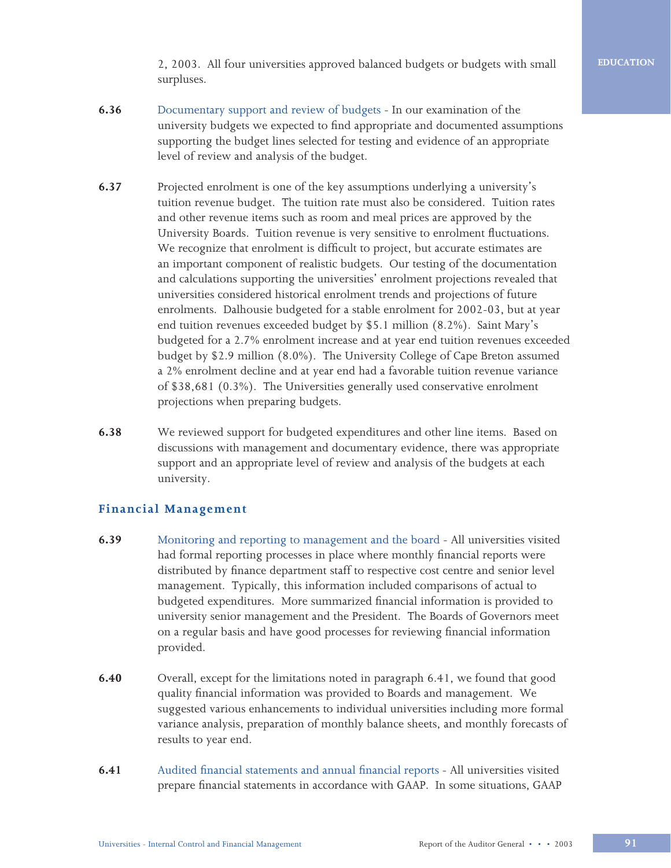2, 2003. All four universities approved balanced budgets or budgets with small surpluses.

- **6.36** Documentary support and review of budgets In our examination of the university budgets we expected to find appropriate and documented assumptions supporting the budget lines selected for testing and evidence of an appropriate level of review and analysis of the budget.
- **6.37** Projected enrolment is one of the key assumptions underlying a university's tuition revenue budget. The tuition rate must also be considered. Tuition rates and other revenue items such as room and meal prices are approved by the University Boards. Tuition revenue is very sensitive to enrolment fluctuations. We recognize that enrolment is difficult to project, but accurate estimates are an important component of realistic budgets. Our testing of the documentation and calculations supporting the universities' enrolment projections revealed that universities considered historical enrolment trends and projections of future enrolments. Dalhousie budgeted for a stable enrolment for 2002-03, but at year end tuition revenues exceeded budget by \$5.1 million (8.2%). Saint Mary's budgeted for a 2.7% enrolment increase and at year end tuition revenues exceeded budget by \$2.9 million (8.0%). The University College of Cape Breton assumed a 2% enrolment decline and at year end had a favorable tuition revenue variance of \$38,681 (0.3%). The Universities generally used conservative enrolment projections when preparing budgets.
- **6.38** We reviewed support for budgeted expenditures and other line items. Based on discussions with management and documentary evidence, there was appropriate support and an appropriate level of review and analysis of the budgets at each university.

# **Financial Management**

- **6.39** Monitoring and reporting to management and the board All universities visited had formal reporting processes in place where monthly financial reports were distributed by finance department staff to respective cost centre and senior level management. Typically, this information included comparisons of actual to budgeted expenditures. More summarized financial information is provided to university senior management and the President. The Boards of Governors meet on a regular basis and have good processes for reviewing financial information provided.
- **6.40** Overall, except for the limitations noted in paragraph 6.41, we found that good quality financial information was provided to Boards and management. We suggested various enhancements to individual universities including more formal variance analysis, preparation of monthly balance sheets, and monthly forecasts of results to year end.
- **6.41** Audited financial statements and annual financial reports All universities visited prepare financial statements in accordance with GAAP. In some situations, GAAP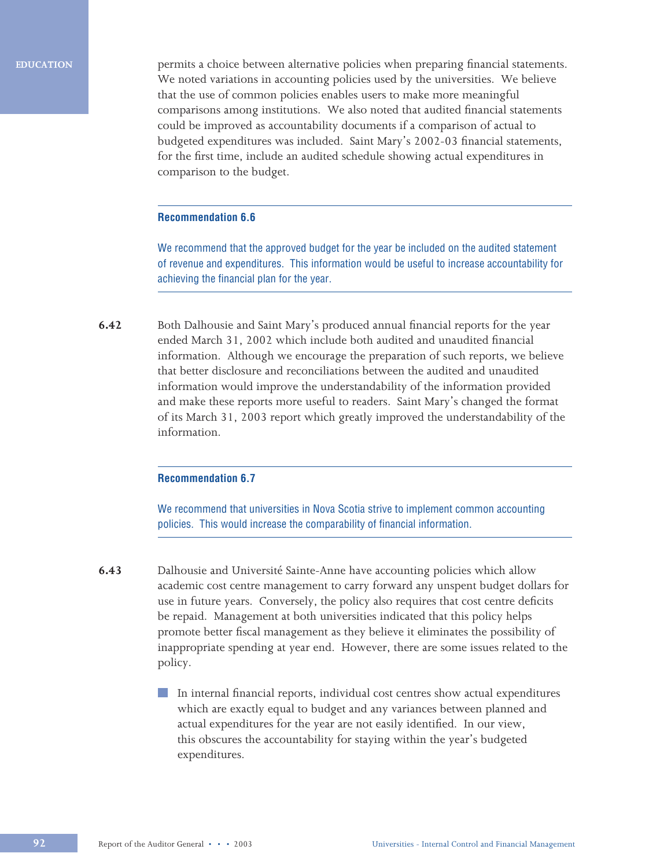permits a choice between alternative policies when preparing financial statements. We noted variations in accounting policies used by the universities. We believe that the use of common policies enables users to make more meaningful comparisons among institutions. We also noted that audited financial statements could be improved as accountability documents if a comparison of actual to budgeted expenditures was included. Saint Mary's 2002-03 financial statements, for the first time, include an audited schedule showing actual expenditures in comparison to the budget.

### **Recommendation 6.6**

We recommend that the approved budget for the year be included on the audited statement of revenue and expenditures. This information would be useful to increase accountability for achieving the financial plan for the year.

**6.42** Both Dalhousie and Saint Mary's produced annual financial reports for the year ended March 31, 2002 which include both audited and unaudited financial information. Although we encourage the preparation of such reports, we believe that better disclosure and reconciliations between the audited and unaudited information would improve the understandability of the information provided and make these reports more useful to readers. Saint Mary's changed the format of its March 31, 2003 report which greatly improved the understandability of the information.

### **Recommendation 6.7**

We recommend that universities in Nova Scotia strive to implement common accounting policies. This would increase the comparability of financial information.

**6.43** Dalhousie and Université Sainte-Anne have accounting policies which allow academic cost centre management to carry forward any unspent budget dollars for use in future years. Conversely, the policy also requires that cost centre deficits be repaid. Management at both universities indicated that this policy helps promote better fiscal management as they believe it eliminates the possibility of inappropriate spending at year end. However, there are some issues related to the policy.

> In internal financial reports, individual cost centres show actual expenditures which are exactly equal to budget and any variances between planned and actual expenditures for the year are not easily identified. In our view, this obscures the accountability for staying within the year's budgeted expenditures.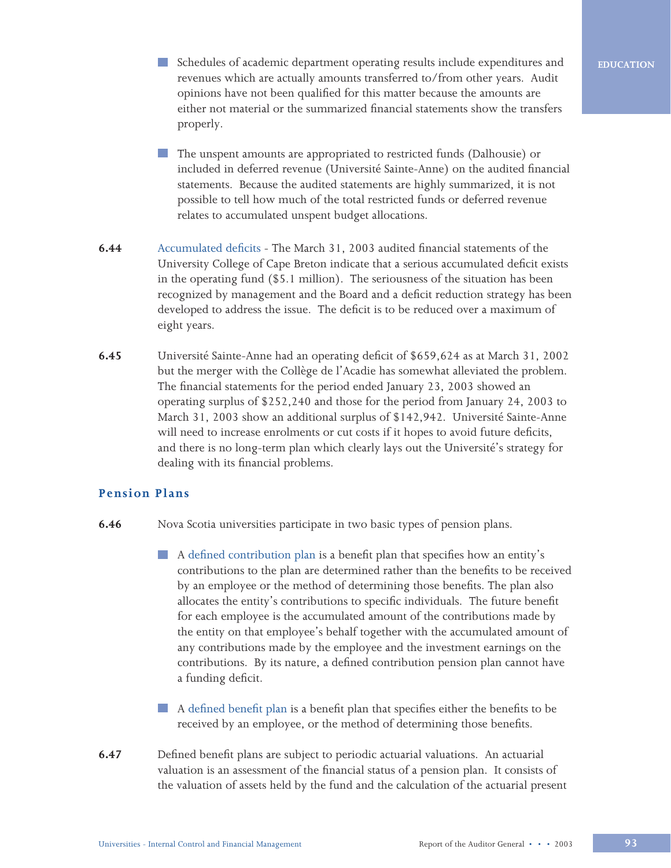- Schedules of academic department operating results include expenditures and revenues which are actually amounts transferred to/from other years. Audit opinions have not been qualified for this matter because the amounts are either not material or the summarized financial statements show the transfers properly.
- The unspent amounts are appropriated to restricted funds (Dalhousie) or included in deferred revenue (Université Sainte-Anne) on the audited financial statements. Because the audited statements are highly summarized, it is not possible to tell how much of the total restricted funds or deferred revenue relates to accumulated unspent budget allocations.
- **6.44** Accumulated deficits The March 31, 2003 audited financial statements of the University College of Cape Breton indicate that a serious accumulated deficit exists in the operating fund (\$5.1 million). The seriousness of the situation has been recognized by management and the Board and a deficit reduction strategy has been developed to address the issue. The deficit is to be reduced over a maximum of eight years.
- **6.45** Université Sainte-Anne had an operating deficit of \$659,624 as at March 31, 2002 but the merger with the Collège de l'Acadie has somewhat alleviated the problem. The financial statements for the period ended January 23, 2003 showed an operating surplus of \$252,240 and those for the period from January 24, 2003 to March 31, 2003 show an additional surplus of \$142,942. Université Sainte-Anne will need to increase enrolments or cut costs if it hopes to avoid future deficits, and there is no long-term plan which clearly lays out the Université's strategy for dealing with its financial problems.

# **Pension Plans**

- **6.46** Nova Scotia universities participate in two basic types of pension plans.
	- A defined contribution plan is a benefit plan that specifies how an entity's contributions to the plan are determined rather than the benefits to be received by an employee or the method of determining those benefits. The plan also allocates the entity's contributions to specific individuals. The future benefit for each employee is the accumulated amount of the contributions made by the entity on that employee's behalf together with the accumulated amount of any contributions made by the employee and the investment earnings on the contributions. By its nature, a defined contribution pension plan cannot have a funding deficit.
	- A defined benefit plan is a benefit plan that specifies either the benefits to be received by an employee, or the method of determining those benefits.
- **6.47** Defined benefit plans are subject to periodic actuarial valuations. An actuarial valuation is an assessment of the financial status of a pension plan. It consists of the valuation of assets held by the fund and the calculation of the actuarial present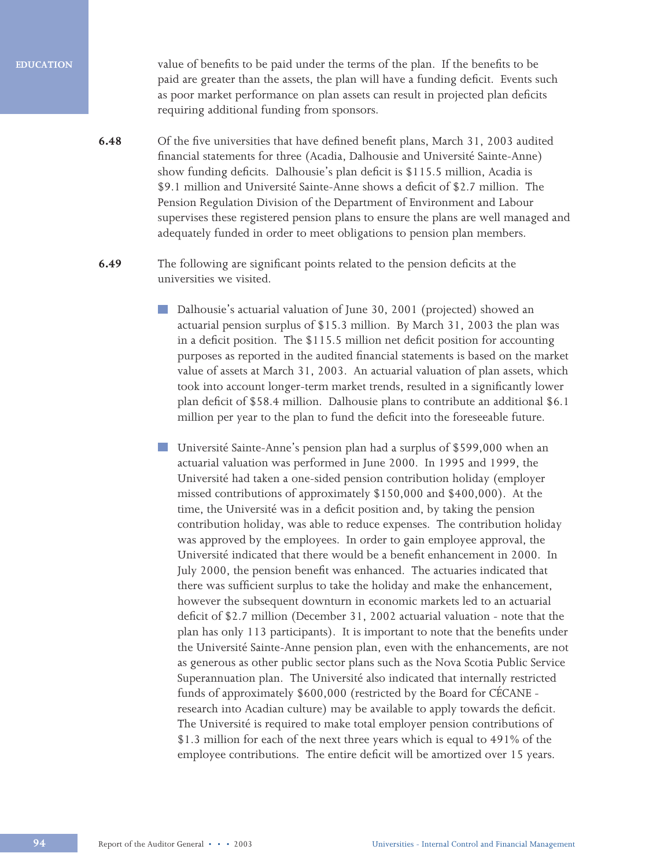value of benefits to be paid under the terms of the plan. If the benefits to be paid are greater than the assets, the plan will have a funding deficit. Events such as poor market performance on plan assets can result in projected plan deficits requiring additional funding from sponsors.

- **6.48** Of the five universities that have defined benefit plans, March 31, 2003 audited financial statements for three (Acadia, Dalhousie and Université Sainte-Anne) show funding deficits. Dalhousie's plan deficit is \$115.5 million, Acadia is \$9.1 million and Université Sainte-Anne shows a deficit of \$2.7 million. The Pension Regulation Division of the Department of Environment and Labour supervises these registered pension plans to ensure the plans are well managed and adequately funded in order to meet obligations to pension plan members.
- **6.49** The following are significant points related to the pension deficits at the universities we visited.
	- Dalhousie's actuarial valuation of June 30, 2001 (projected) showed an actuarial pension surplus of \$15.3 million. By March 31, 2003 the plan was in a deficit position. The \$115.5 million net deficit position for accounting purposes as reported in the audited financial statements is based on the market value of assets at March 31, 2003. An actuarial valuation of plan assets, which took into account longer-term market trends, resulted in a significantly lower plan deficit of \$58.4 million. Dalhousie plans to contribute an additional \$6.1 million per year to the plan to fund the deficit into the foreseeable future.
	- Université Sainte-Anne's pension plan had a surplus of \$599,000 when an actuarial valuation was performed in June 2000. In 1995 and 1999, the Université had taken a one-sided pension contribution holiday (employer missed contributions of approximately \$150,000 and \$400,000). At the time, the Université was in a deficit position and, by taking the pension contribution holiday, was able to reduce expenses. The contribution holiday was approved by the employees. In order to gain employee approval, the Université indicated that there would be a benefit enhancement in 2000. In July 2000, the pension benefit was enhanced. The actuaries indicated that there was sufficient surplus to take the holiday and make the enhancement, however the subsequent downturn in economic markets led to an actuarial deficit of \$2.7 million (December 31, 2002 actuarial valuation - note that the plan has only 113 participants). It is important to note that the benefits under the Université Sainte-Anne pension plan, even with the enhancements, are not as generous as other public sector plans such as the Nova Scotia Public Service Superannuation plan. The Université also indicated that internally restricted funds of approximately \$600,000 (restricted by the Board for CÉCANE research into Acadian culture) may be available to apply towards the deficit. The Université is required to make total employer pension contributions of \$1.3 million for each of the next three years which is equal to 491% of the employee contributions. The entire deficit will be amortized over 15 years.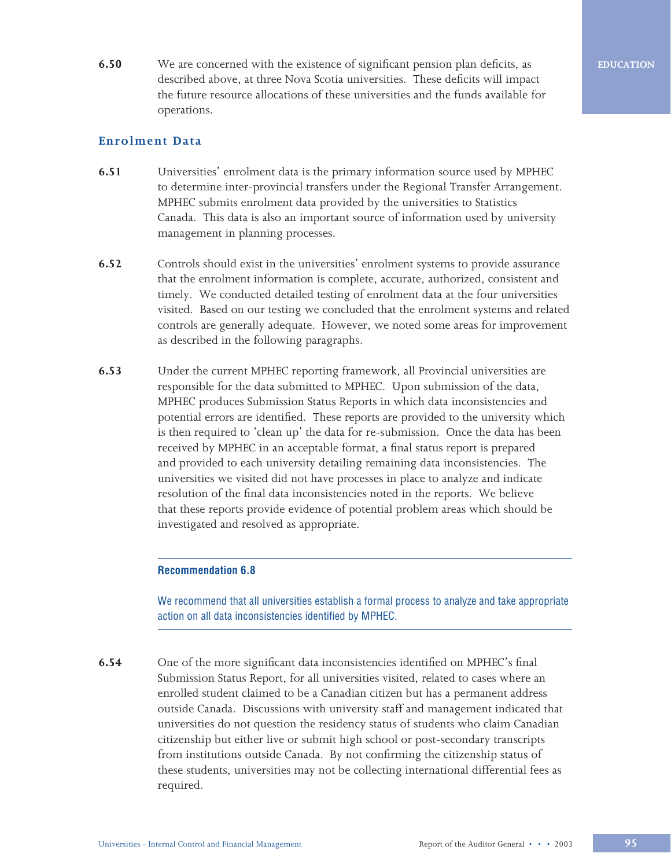**6.50** We are concerned with the existence of significant pension plan deficits, as described above, at three Nova Scotia universities. These deficits will impact the future resource allocations of these universities and the funds available for operations.

# **Enrolment Data**

- **6.51** Universities' enrolment data is the primary information source used by MPHEC to determine inter-provincial transfers under the Regional Transfer Arrangement. MPHEC submits enrolment data provided by the universities to Statistics Canada. This data is also an important source of information used by university management in planning processes.
- **6.52** Controls should exist in the universities' enrolment systems to provide assurance that the enrolment information is complete, accurate, authorized, consistent and timely. We conducted detailed testing of enrolment data at the four universities visited. Based on our testing we concluded that the enrolment systems and related controls are generally adequate. However, we noted some areas for improvement as described in the following paragraphs.
- **6.53** Under the current MPHEC reporting framework, all Provincial universities are responsible for the data submitted to MPHEC. Upon submission of the data, MPHEC produces Submission Status Reports in which data inconsistencies and potential errors are identified. These reports are provided to the university which is then required to 'clean up' the data for re-submission. Once the data has been received by MPHEC in an acceptable format, a final status report is prepared and provided to each university detailing remaining data inconsistencies. The universities we visited did not have processes in place to analyze and indicate resolution of the final data inconsistencies noted in the reports. We believe that these reports provide evidence of potential problem areas which should be investigated and resolved as appropriate.

### **Recommendation 6.8**

We recommend that all universities establish a formal process to analyze and take appropriate action on all data inconsistencies identified by MPHEC.

**6.54** One of the more significant data inconsistencies identified on MPHEC's final Submission Status Report, for all universities visited, related to cases where an enrolled student claimed to be a Canadian citizen but has a permanent address outside Canada. Discussions with university staff and management indicated that universities do not question the residency status of students who claim Canadian citizenship but either live or submit high school or post-secondary transcripts from institutions outside Canada. By not confirming the citizenship status of these students, universities may not be collecting international differential fees as required.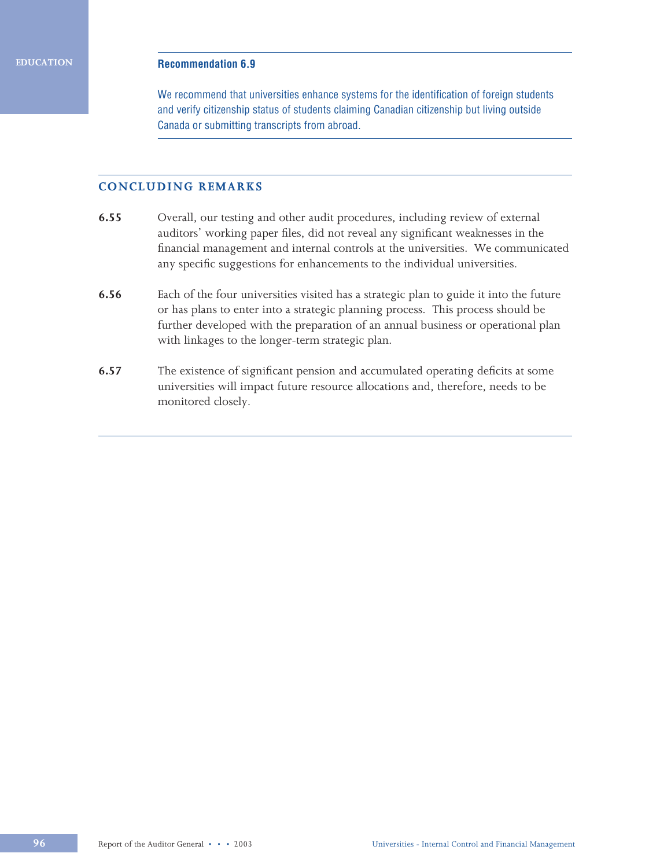### **Recommendation 6.9**

We recommend that universities enhance systems for the identification of foreign students and verify citizenship status of students claiming Canadian citizenship but living outside Canada or submitting transcripts from abroad.

# **CONCLUDING REMARKS**

- **6.55** Overall, our testing and other audit procedures, including review of external auditors' working paper files, did not reveal any significant weaknesses in the financial management and internal controls at the universities. We communicated any specific suggestions for enhancements to the individual universities.
- **6.56** Each of the four universities visited has a strategic plan to guide it into the future or has plans to enter into a strategic planning process. This process should be further developed with the preparation of an annual business or operational plan with linkages to the longer-term strategic plan.
- **6.57** The existence of significant pension and accumulated operating deficits at some universities will impact future resource allocations and, therefore, needs to be monitored closely.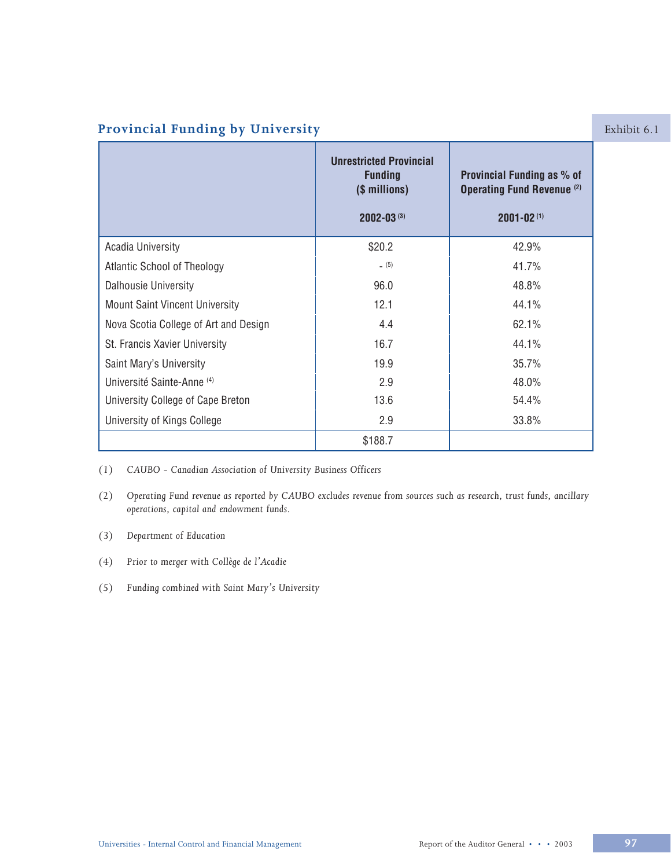# **Provincial Funding by University Exhibit 6.1**

|                                       | <b>Unrestricted Provincial</b><br><b>Funding</b><br>(\$ millions)<br>$2002 - 03^{(3)}$ | Provincial Funding as % of<br><b>Operating Fund Revenue (2)</b><br>$2001 - 02(1)$ |  |
|---------------------------------------|----------------------------------------------------------------------------------------|-----------------------------------------------------------------------------------|--|
| <b>Acadia University</b>              | \$20.2                                                                                 | 42.9%                                                                             |  |
| Atlantic School of Theology           | (5)                                                                                    | 41.7%                                                                             |  |
| <b>Dalhousie University</b>           | 96.0                                                                                   | 48.8%                                                                             |  |
| <b>Mount Saint Vincent University</b> | 12.1                                                                                   | 44.1%                                                                             |  |
| Nova Scotia College of Art and Design | 4.4                                                                                    | 62.1%                                                                             |  |
| St. Francis Xavier University         | 16.7                                                                                   | 44.1%                                                                             |  |
| Saint Mary's University               | 19.9                                                                                   | 35.7%                                                                             |  |
| Université Sainte-Anne (4)            | 2.9                                                                                    | 48.0%                                                                             |  |
| University College of Cape Breton     | 13.6                                                                                   | 54.4%                                                                             |  |
| University of Kings College           | 2.9                                                                                    | 33.8%                                                                             |  |
|                                       | \$188.7                                                                                |                                                                                   |  |

*(1) CAUBO - Canadian Association of University Business Officers*

- *(2) Operating Fund revenue as reported by CAUBO excludes revenue from sources such as research, trust funds, ancillary operations, capital and endowment funds.*
- *(3) Department of Education*
- *(4) Prior to merger with Collège de l'Acadie*
- *(5) Funding combined with Saint Mary's University*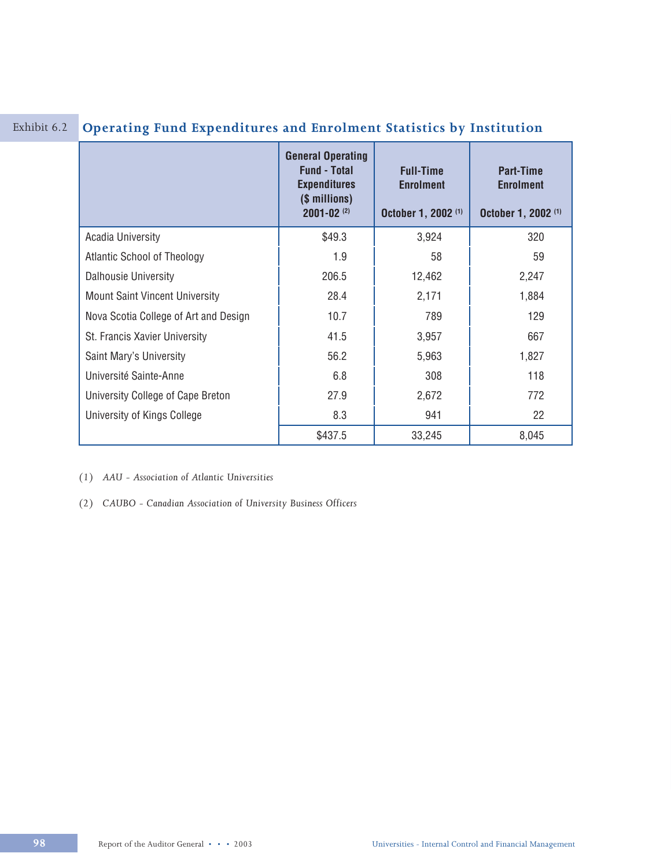|                                       | <b>General Operating</b><br><b>Fund - Total</b><br><b>Expenditures</b><br>(\$ millions)<br>$2001 - 02$ <sup>(2)</sup> | <b>Full-Time</b><br><b>Enrolment</b><br>October 1, 2002 <sup>(1)</sup> | <b>Part-Time</b><br><b>Enrolment</b><br>October 1, 2002 <sup>(1)</sup> |
|---------------------------------------|-----------------------------------------------------------------------------------------------------------------------|------------------------------------------------------------------------|------------------------------------------------------------------------|
| <b>Acadia University</b>              | \$49.3                                                                                                                | 3,924                                                                  | 320                                                                    |
| <b>Atlantic School of Theology</b>    | 1.9                                                                                                                   | 58                                                                     | 59                                                                     |
| <b>Dalhousie University</b>           | 206.5                                                                                                                 | 12,462                                                                 | 2,247                                                                  |
| <b>Mount Saint Vincent University</b> | 28.4                                                                                                                  | 2,171                                                                  | 1,884                                                                  |
| Nova Scotia College of Art and Design | 10.7                                                                                                                  | 789                                                                    | 129                                                                    |
| St. Francis Xavier University         | 41.5                                                                                                                  | 3,957                                                                  | 667                                                                    |
| Saint Mary's University               | 56.2                                                                                                                  | 5,963                                                                  | 1,827                                                                  |
| Université Sainte-Anne                | 6.8                                                                                                                   | 308                                                                    | 118                                                                    |
| University College of Cape Breton     | 27.9                                                                                                                  | 2,672                                                                  | 772                                                                    |
| University of Kings College           | 8.3                                                                                                                   | 941                                                                    | 22                                                                     |
|                                       | \$437.5                                                                                                               | 33,245                                                                 | 8,045                                                                  |

# Exhibit 6.2 **Operating Fund Expenditures and Enrolment Statistics by Institution**

*(1) AAU - Association of Atlantic Universities*

*(2) CAUBO - Canadian Association of University Business Officers*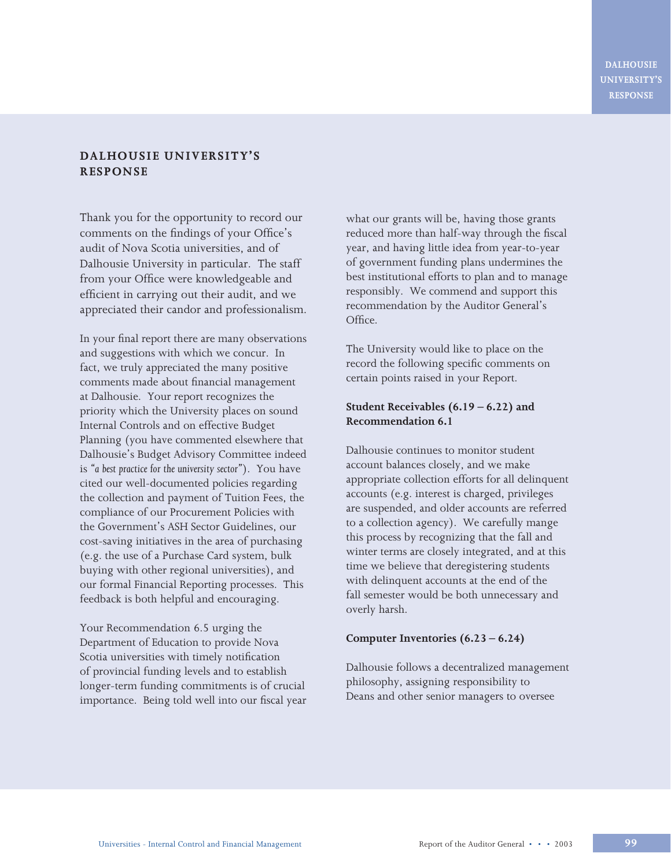# **DALHOUSIE UNIVERSITY'S RESPONSE**

Thank you for the opportunity to record our comments on the findings of your Office's audit of Nova Scotia universities, and of Dalhousie University in particular. The staff from your Office were knowledgeable and efficient in carrying out their audit, and we appreciated their candor and professionalism.

In your final report there are many observations and suggestions with which we concur. In fact, we truly appreciated the many positive comments made about financial management at Dalhousie. Your report recognizes the priority which the University places on sound Internal Controls and on effective Budget Planning (you have commented elsewhere that Dalhousie's Budget Advisory Committee indeed is *"a best practice for the university sector"*). You have cited our well-documented policies regarding the collection and payment of Tuition Fees, the compliance of our Procurement Policies with the Government's ASH Sector Guidelines, our cost-saving initiatives in the area of purchasing (e.g. the use of a Purchase Card system, bulk buying with other regional universities), and our formal Financial Reporting processes. This feedback is both helpful and encouraging.

Your Recommendation 6.5 urging the Department of Education to provide Nova Scotia universities with timely notification of provincial funding levels and to establish longer-term funding commitments is of crucial importance. Being told well into our fiscal year what our grants will be, having those grants reduced more than half-way through the fiscal year, and having little idea from year-to-year of government funding plans undermines the best institutional efforts to plan and to manage responsibly. We commend and support this recommendation by the Auditor General's Office.

The University would like to place on the record the following specific comments on certain points raised in your Report.

# **Student Receivables (6.19 – 6.22) and Recommendation 6.1**

Dalhousie continues to monitor student account balances closely, and we make appropriate collection efforts for all delinquent accounts (e.g. interest is charged, privileges are suspended, and older accounts are referred to a collection agency). We carefully mange this process by recognizing that the fall and winter terms are closely integrated, and at this time we believe that deregistering students with delinquent accounts at the end of the fall semester would be both unnecessary and overly harsh.

### **Computer Inventories (6.23 – 6.24)**

Dalhousie follows a decentralized management philosophy, assigning responsibility to Deans and other senior managers to oversee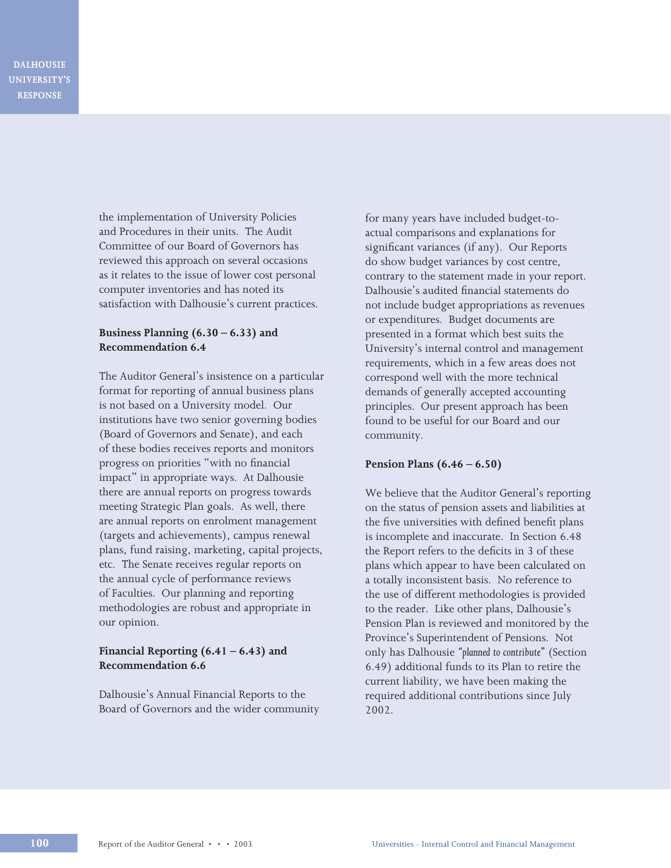the implementation of University Policies and Procedures in their units. The Audit Committee of our Board of Governors has reviewed this approach on several occasions as it relates to the issue of lower cost personal computer inventories and has noted its satisfaction with Dalhousie's current practices.

# **Business Planning (6.30 – 6.33) and Recommendation 6.4**

The Auditor General's insistence on a particular format for reporting of annual business plans is not based on a University model. Our institutions have two senior governing bodies (Board of Governors and Senate), and each of these bodies receives reports and monitors progress on priorities "with no financial impact" in appropriate ways. At Dalhousie there are annual reports on progress towards meeting Strategic Plan goals. As well, there are annual reports on enrolment management (targets and achievements), campus renewal plans, fund raising, marketing, capital projects, etc. The Senate receives regular reports on the annual cycle of performance reviews of Faculties. Our planning and reporting methodologies are robust and appropriate in our opinion.

# **Financial Reporting (6.41 – 6.43) and Recommendation 6.6**

Dalhousie's Annual Financial Reports to the Board of Governors and the wider community for many years have included budget-toactual comparisons and explanations for significant variances (if any). Our Reports do show budget variances by cost centre, contrary to the statement made in your report. Dalhousie's audited financial statements do not include budget appropriations as revenues or expenditures. Budget documents are presented in a format which best suits the University's internal control and management requirements, which in a few areas does not correspond well with the more technical demands of generally accepted accounting principles. Our present approach has been found to be useful for our Board and our community.

### **Pension Plans (6.46 – 6.50)**

We believe that the Auditor General's reporting on the status of pension assets and liabilities at the five universities with defined benefit plans is incomplete and inaccurate. In Section 6.48 the Report refers to the deficits in 3 of these plans which appear to have been calculated on a totally inconsistent basis. No reference to the use of different methodologies is provided to the reader. Like other plans, Dalhousie's Pension Plan is reviewed and monitored by the Province's Superintendent of Pensions. Not only has Dalhousie *"planned to contribute"* (Section 6.49) additional funds to its Plan to retire the current liability, we have been making the required additional contributions since July 2002.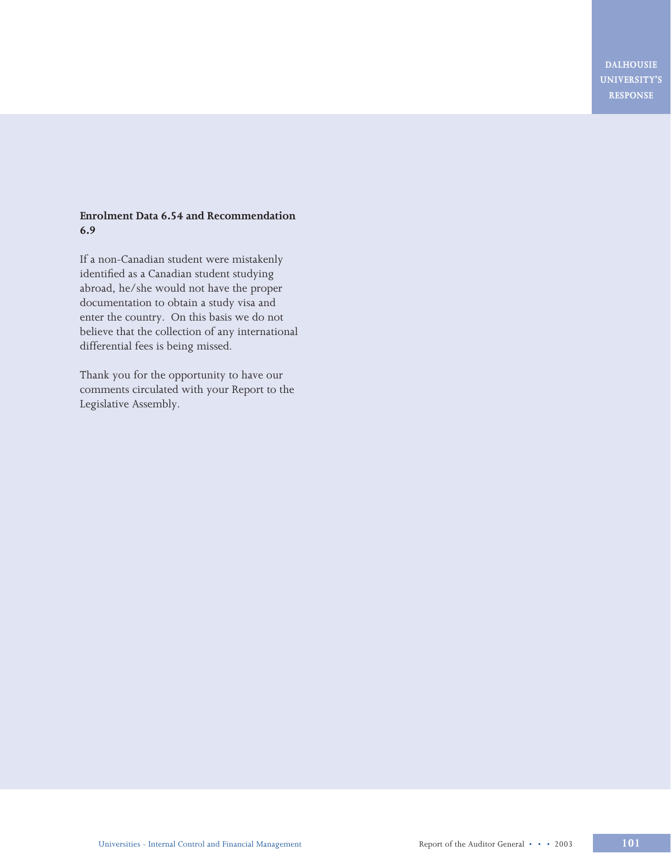# **Enrolment Data 6.54 and Recommendation 6.9**

If a non-Canadian student were mistakenly identified as a Canadian student studying abroad, he/she would not have the proper documentation to obtain a study visa and enter the country. On this basis we do not believe that the collection of any international differential fees is being missed.

Thank you for the opportunity to have our comments circulated with your Report to the Legislative Assembly.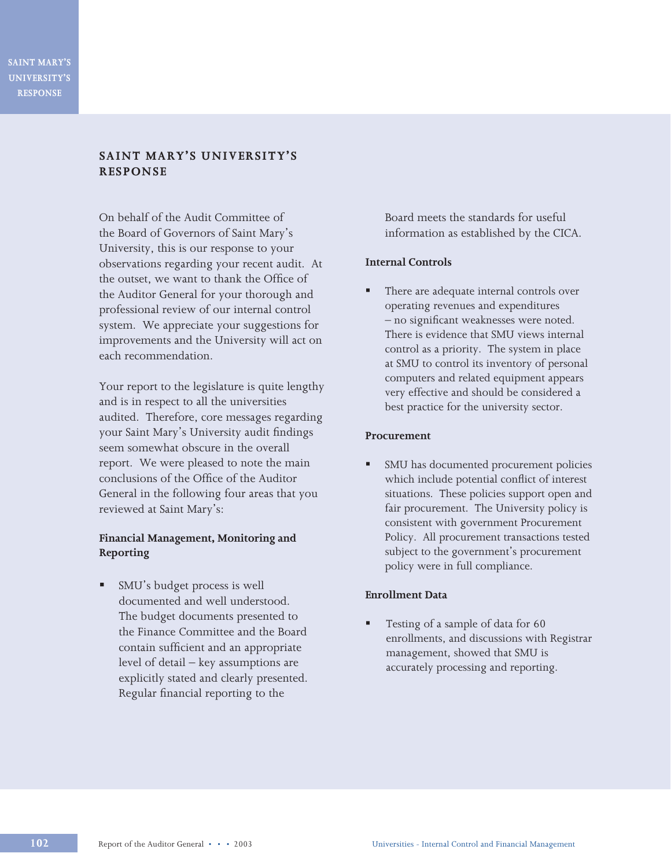# **SAINT MARY'S UNIVERSITY'S RESPONSE**

On behalf of the Audit Committee of the Board of Governors of Saint Mary's University, this is our response to your observations regarding your recent audit. At the outset, we want to thank the Office of the Auditor General for your thorough and professional review of our internal control system. We appreciate your suggestions for improvements and the University will act on each recommendation.

Your report to the legislature is quite lengthy and is in respect to all the universities audited. Therefore, core messages regarding your Saint Mary's University audit findings seem somewhat obscure in the overall report. We were pleased to note the main conclusions of the Office of the Auditor General in the following four areas that you reviewed at Saint Mary's:

# **Financial Management, Monitoring and Reporting**

§ SMU's budget process is well documented and well understood. The budget documents presented to the Finance Committee and the Board contain sufficient and an appropriate level of detail – key assumptions are explicitly stated and clearly presented. Regular financial reporting to the

Board meets the standards for useful information as established by the CICA.

## **Internal Controls**

There are adequate internal controls over operating revenues and expenditures – no significant weaknesses were noted. There is evidence that SMU views internal control as a priority. The system in place at SMU to control its inventory of personal computers and related equipment appears very effective and should be considered a best practice for the university sector.

### **Procurement**

§ SMU has documented procurement policies which include potential conflict of interest situations. These policies support open and fair procurement. The University policy is consistent with government Procurement Policy. All procurement transactions tested subject to the government's procurement policy were in full compliance.

# **Enrollment Data**

Testing of a sample of data for 60 enrollments, and discussions with Registrar management, showed that SMU is accurately processing and reporting.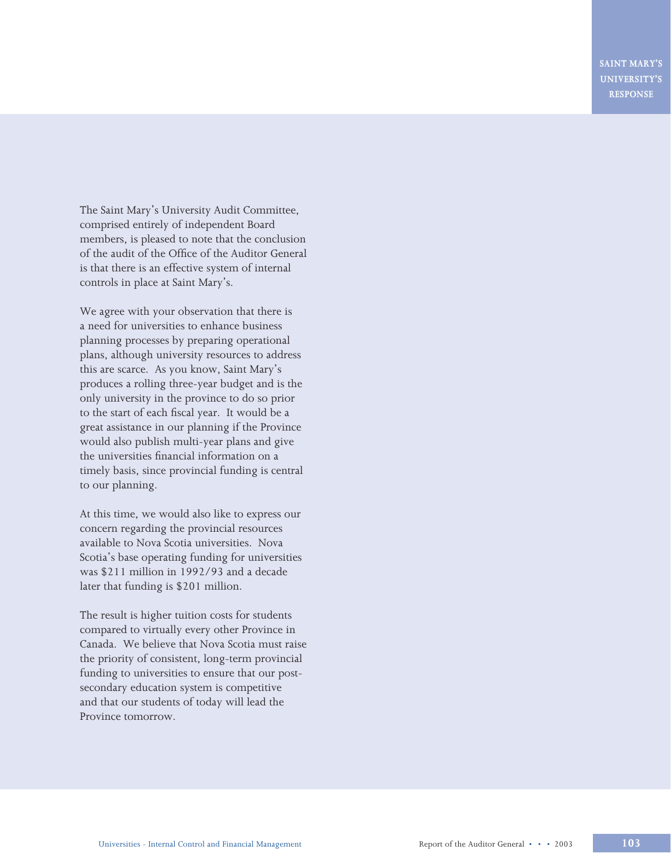The Saint Mary's University Audit Committee, comprised entirely of independent Board members, is pleased to note that the conclusion of the audit of the Office of the Auditor General is that there is an effective system of internal controls in place at Saint Mary's.

We agree with your observation that there is a need for universities to enhance business planning processes by preparing operational plans, although university resources to address this are scarce. As you know, Saint Mary's produces a rolling three-year budget and is the only university in the province to do so prior to the start of each fiscal year. It would be a great assistance in our planning if the Province would also publish multi-year plans and give the universities financial information on a timely basis, since provincial funding is central to our planning.

At this time, we would also like to express our concern regarding the provincial resources available to Nova Scotia universities. Nova Scotia's base operating funding for universities was \$211 million in 1992/93 and a decade later that funding is \$201 million.

The result is higher tuition costs for students compared to virtually every other Province in Canada. We believe that Nova Scotia must raise the priority of consistent, long-term provincial funding to universities to ensure that our postsecondary education system is competitive and that our students of today will lead the Province tomorrow.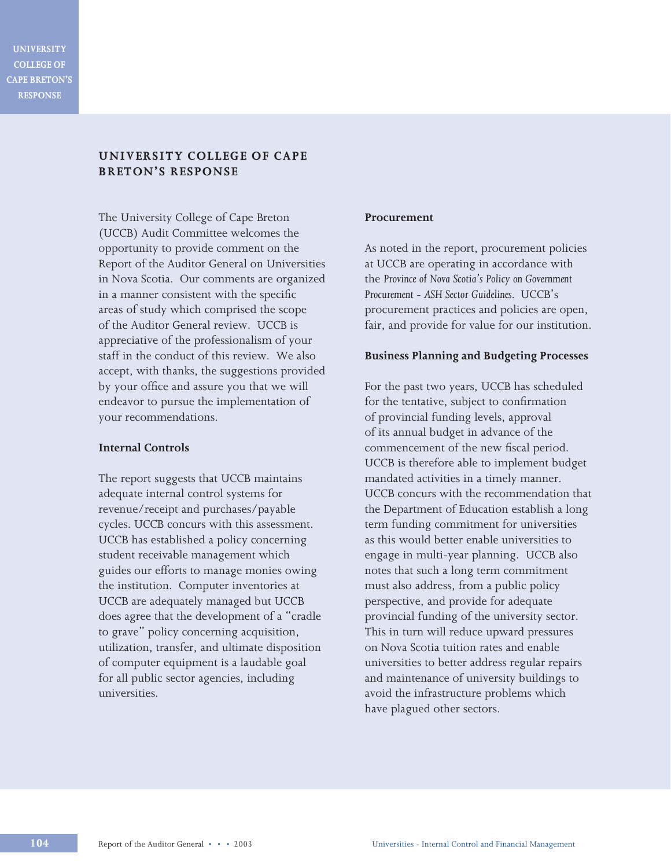# **UNIVERSITY COLLEGE OF CAPE BRETON'S RESPONSE**

The University College of Cape Breton (UCCB) Audit Committee welcomes the opportunity to provide comment on the Report of the Auditor General on Universities in Nova Scotia. Our comments are organized in a manner consistent with the specific areas of study which comprised the scope of the Auditor General review. UCCB is appreciative of the professionalism of your staff in the conduct of this review. We also accept, with thanks, the suggestions provided by your office and assure you that we will endeavor to pursue the implementation of your recommendations.

### **Internal Controls**

The report suggests that UCCB maintains adequate internal control systems for revenue/receipt and purchases/payable cycles. UCCB concurs with this assessment. UCCB has established a policy concerning student receivable management which guides our efforts to manage monies owing the institution. Computer inventories at UCCB are adequately managed but UCCB does agree that the development of a "cradle to grave" policy concerning acquisition, utilization, transfer, and ultimate disposition of computer equipment is a laudable goal for all public sector agencies, including universities.

## **Procurement**

As noted in the report, procurement policies at UCCB are operating in accordance with the *Province of Nova Scotia's Policy on Government Procurement - ASH Sector Guidelines.* UCCB's procurement practices and policies are open, fair, and provide for value for our institution.

### **Business Planning and Budgeting Processes**

For the past two years, UCCB has scheduled for the tentative, subject to confirmation of provincial funding levels, approval of its annual budget in advance of the commencement of the new fiscal period. UCCB is therefore able to implement budget mandated activities in a timely manner. UCCB concurs with the recommendation that the Department of Education establish a long term funding commitment for universities as this would better enable universities to engage in multi-year planning. UCCB also notes that such a long term commitment must also address, from a public policy perspective, and provide for adequate provincial funding of the university sector. This in turn will reduce upward pressures on Nova Scotia tuition rates and enable universities to better address regular repairs and maintenance of university buildings to avoid the infrastructure problems which have plagued other sectors.